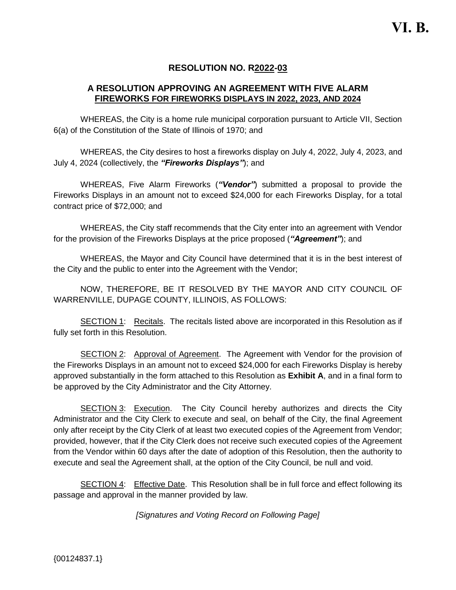# **RESOLUTION NO. R2022-03**

# **A RESOLUTION APPROVING AN AGREEMENT WITH FIVE ALARM FIREWORKS FOR FIREWORKS DISPLAYS IN 2022, 2023, AND 2024**

WHEREAS, the City is a home rule municipal corporation pursuant to Article VII, Section 6(a) of the Constitution of the State of Illinois of 1970; and

WHEREAS, the City desires to host a fireworks display on July 4, 2022, July 4, 2023, and July 4, 2024 (collectively, the *"Fireworks Displays"*); and

WHEREAS, Five Alarm Fireworks (*"Vendor"*) submitted a proposal to provide the Fireworks Displays in an amount not to exceed \$24,000 for each Fireworks Display, for a total contract price of \$72,000; and

WHEREAS, the City staff recommends that the City enter into an agreement with Vendor for the provision of the Fireworks Displays at the price proposed (*"Agreement"*); and

WHEREAS, the Mayor and City Council have determined that it is in the best interest of the City and the public to enter into the Agreement with the Vendor;

NOW, THEREFORE, BE IT RESOLVED BY THE MAYOR AND CITY COUNCIL OF WARRENVILLE, DUPAGE COUNTY, ILLINOIS, AS FOLLOWS:

SECTION 1: Recitals. The recitals listed above are incorporated in this Resolution as if fully set forth in this Resolution.

SECTION 2: Approval of Agreement. The Agreement with Vendor for the provision of the Fireworks Displays in an amount not to exceed \$24,000 for each Fireworks Display is hereby approved substantially in the form attached to this Resolution as **Exhibit A**, and in a final form to be approved by the City Administrator and the City Attorney.

SECTION 3: Execution. The City Council hereby authorizes and directs the City Administrator and the City Clerk to execute and seal, on behalf of the City, the final Agreement only after receipt by the City Clerk of at least two executed copies of the Agreement from Vendor; provided, however, that if the City Clerk does not receive such executed copies of the Agreement from the Vendor within 60 days after the date of adoption of this Resolution, then the authority to execute and seal the Agreement shall, at the option of the City Council, be null and void.

SECTION 4: Effective Date. This Resolution shall be in full force and effect following its passage and approval in the manner provided by law.

*[Signatures and Voting Record on Following Page]*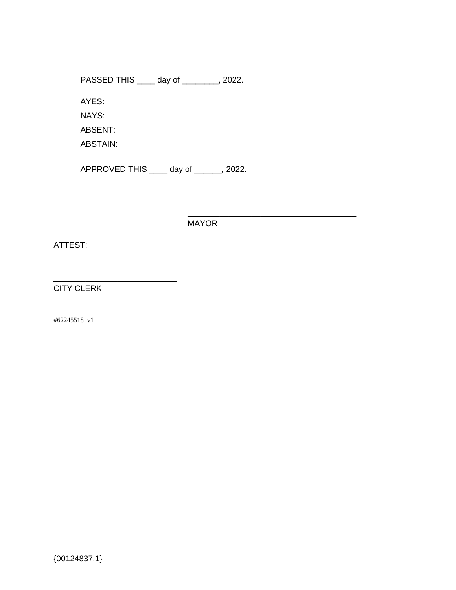PASSED THIS \_\_\_\_ day of \_\_\_\_\_\_\_\_, 2022.

AYES:

NAYS:

ABSENT:

ABSTAIN:

APPROVED THIS \_\_\_\_ day of \_\_\_\_\_\_, 2022.

MAYOR

\_\_\_\_\_\_\_\_\_\_\_\_\_\_\_\_\_\_\_\_\_\_\_\_\_\_\_\_\_\_\_\_\_\_\_\_\_

ATTEST:

CITY CLERK

\_\_\_\_\_\_\_\_\_\_\_\_\_\_\_\_\_\_\_\_\_\_\_\_\_\_\_

#62245518\_v1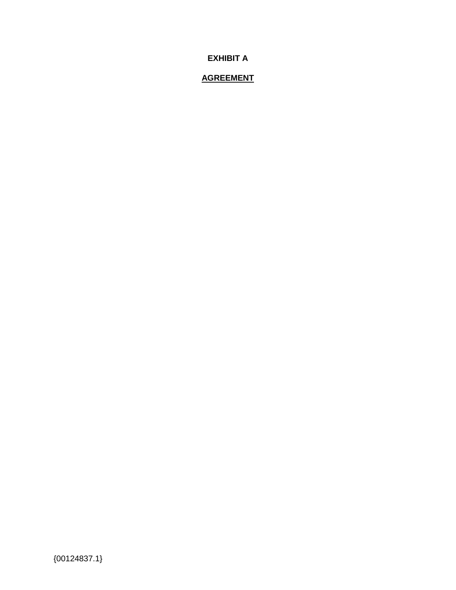**EXHIBIT A**

# **AGREEMENT**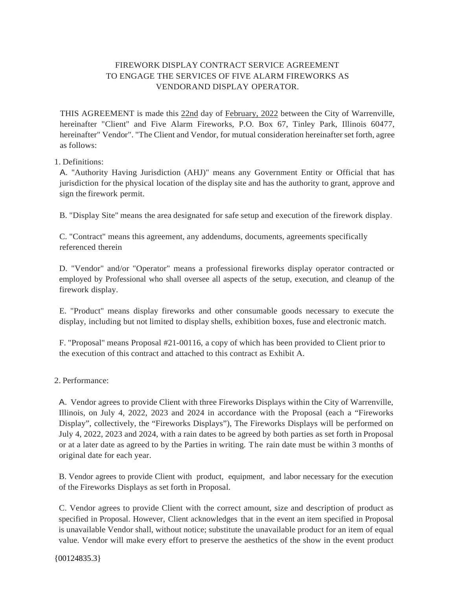# FIREWORK DISPLAY CONTRACT SERVICE AGREEMENT TO ENGAGE THE SERVICES OF FIVE ALARM FIREWORKS AS VENDORAND DISPLAY OPERATOR.

THIS AGREEMENT is made this 22nd day of February, 2022 between the City of Warrenville, hereinafter "Client" and Five Alarm Fireworks, P.O. Box 67, Tinley Park, Illinois 60477, hereinafter" Vendor". "The Client and Vendor, for mutual consideration hereinafter set forth, agree as follows:

# 1. Definitions:

A. ''Authority Having Jurisdiction (AHJ)" means any Government Entity or Official that has jurisdiction for the physical location of the display site and has the authority to grant, approve and sign the firework permit.

B. "Display Site" means the area designated for safe setup and execution of the firework display.

C. "Contract" means this agreement, any addendums, documents, agreements specifically referenced therein

D. "Vendor" and/or "Operator" means a professional fireworks display operator contracted or employed by Professional who shall oversee all aspects of the setup, execution, and cleanup of the firework display.

E. "Product" means display fireworks and other consumable goods necessary to execute the display, including but not limited to display shells, exhibition boxes, fuse and electronic match.

F. "Proposal" means Proposal #21-00116, a copy of which has been provided to Client prior to the execution of this contract and attached to this contract as Exhibit A.

# 2. Performance:

A. Vendor agrees to provide Client with three Fireworks Displays within the City of Warrenville, Illinois, on July 4, 2022, 2023 and 2024 in accordance with the Proposal (each a "Fireworks Display", collectively, the "Fireworks Displays"), The Fireworks Displays will be performed on July 4, 2022, 2023 and 2024, with a rain dates to be agreed by both parties as set forth in Proposal or at a later date as agreed to by the Parties in writing. The rain date must be within 3 months of original date for each year.

B. Vendor agrees to provide Client with product, equipment, and labor necessary for the execution of the Fireworks Displays as set forth in Proposal.

C. Vendor agrees to provide Client with the correct amount, size and description of product as specified in Proposal. However, Client acknowledges that in the event an item specified in Proposal is unavailable Vendor shall, without notice; substitute the unavailable product for an item of equal value. Vendor will make every effort to preserve the aesthetics of the show in the event product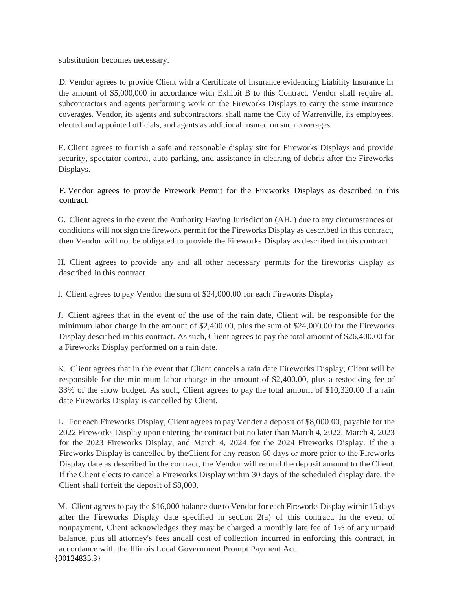substitution becomes necessary.

D. Vendor agrees to provide Client with a Certificate of Insurance evidencing Liability Insurance in the amount of \$5,000,000 in accordance with Exhibit B to this Contract. Vendor shall require all subcontractors and agents performing work on the Fireworks Displays to carry the same insurance coverages. Vendor, its agents and subcontractors, shall name the City of Warrenville, its employees, elected and appointed officials, and agents as additional insured on such coverages.

E. Client agrees to furnish a safe and reasonable display site for Fireworks Displays and provide security, spectator control, auto parking, and assistance in clearing of debris after the Fireworks Displays.

F. Vendor agrees to provide Firework Permit for the Fireworks Displays as described in this contract.

G. Client agrees in the event the Authority Having Jurisdiction (AHJ) due to any circumstances or conditions will not sign the firework permit for the Fireworks Display as described in this contract, then Vendor will not be obligated to provide the Fireworks Display as described in this contract.

H. Client agrees to provide any and all other necessary permits for the fireworks display as described in this contract.

I. Client agrees to pay Vendor the sum of \$24,000.00 for each Fireworks Display

J. Client agrees that in the event of the use of the rain date, Client will be responsible for the minimum labor charge in the amount of \$2,400.00, plus the sum of \$24,000.00 for the Fireworks Display described in this contract. As such, Client agrees to pay the total amount of \$26,400.00 for a Fireworks Display performed on a rain date.

K. Client agrees that in the event that Client cancels a rain date Fireworks Display, Client will be responsible for the minimum labor charge in the amount of \$2,400.00, plus a restocking fee of 33% of the show budget. As such, Client agrees to pay the total amount of \$10,320.00 if a rain date Fireworks Display is cancelled by Client.

L. For each Fireworks Display, Client agrees to pay Vender a deposit of \$8,000.00, payable for the 2022 Fireworks Display upon entering the contract but no later than March 4, 2022, March 4, 2023 for the 2023 Fireworks Display, and March 4, 2024 for the 2024 Fireworks Display. If the a Fireworks Display is cancelled by theClient for any reason 60 days or more prior to the Fireworks Display date as described in the contract, the Vendor will refund the deposit amount to the Client. If the Client elects to cancel a Fireworks Display within 30 days of the scheduled display date, the Client shall forfeit the deposit of \$8,000.

{00124835.3} M. Client agrees to pay the \$16,000 balance due to Vendor for each Fireworks Display within15 days after the Fireworks Display date specified in section  $2(a)$  of this contract. In the event of nonpayment, Client acknowledges they may be charged a monthly late fee of 1% of any unpaid balance, plus all attorney's fees andall cost of collection incurred in enforcing this contract, in accordance with the Illinois Local Government Prompt Payment Act.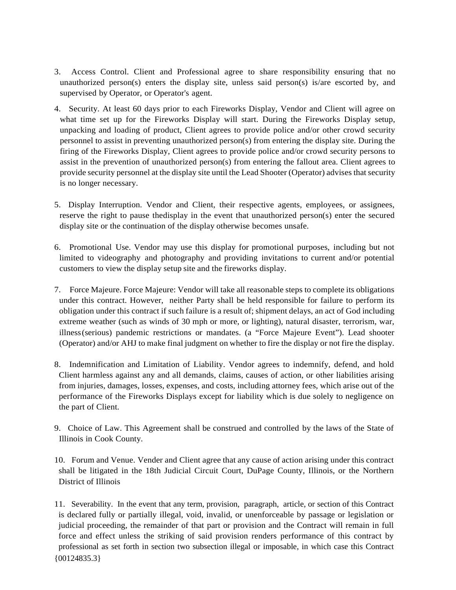- 3. Access Control. Client and Professional agree to share responsibility ensuring that no unauthorized person(s) enters the display site, unless said person(s) is/are escorted by, and supervised by Operator, or Operator's agent.
- 4. Security. At least 60 days prior to each Fireworks Display, Vendor and Client will agree on what time set up for the Fireworks Display will start. During the Fireworks Display setup, unpacking and loading of product, Client agrees to provide police and/or other crowd security personnel to assist in preventing unauthorized person(s) from entering the display site. During the firing of the Fireworks Display, Client agrees to provide police and/or crowd security persons to assist in the prevention of unauthorized person(s) from entering the fallout area. Client agrees to provide security personnel at the display site until the Lead Shooter (Operator) advises that security is no longer necessary.
- 5. Display Interruption. Vendor and Client, their respective agents, employees, or assignees, reserve the right to pause thedisplay in the event that unauthorized person(s) enter the secured display site or the continuation of the display otherwise becomes unsafe.
- 6. Promotional Use. Vendor may use this display for promotional purposes, including but not limited to videography and photography and providing invitations to current and/or potential customers to view the display setup site and the fireworks display.
- 7. Force Majeure. Force Majeure: Vendor will take all reasonable steps to complete its obligations under this contract. However, neither Party shall be held responsible for failure to perform its obligation under this contract if such failure is a result of; shipment delays, an act of God including extreme weather (such as winds of 30 mph or more, or lighting), natural disaster, terrorism, war, illness(serious) pandemic restrictions or mandates. (a "Force Majeure Event"). Lead shooter (Operator) and/or AHJ to make final judgment on whether to fire the display or not fire the display.
- 8. Indemnification and Limitation of Liability. Vendor agrees to indemnify, defend, and hold Client harmless against any and all demands, claims, causes of action, or other liabilities arising from injuries, damages, losses, expenses, and costs, including attorney fees, which arise out of the performance of the Fireworks Displays except for liability which is due solely to negligence on the part of Client.
- 9. Choice of Law. This Agreement shall be construed and controlled by the laws of the State of Illinois in Cook County.
- 10. Forum and Venue. Vender and Client agree that any cause of action arising under this contract shall be litigated in the 18th Judicial Circuit Court, DuPage County, Illinois, or the Northern District of Illinois
- {00124835.3} 11. Severability. In the event that any term, provision, paragraph, article, or section of this Contract is declared fully or partially illegal, void, invalid, or unenforceable by passage or legislation or judicial proceeding, the remainder of that part or provision and the Contract will remain in full force and effect unless the striking of said provision renders performance of this contract by professional as set forth in section two subsection illegal or imposable, in which case this Contract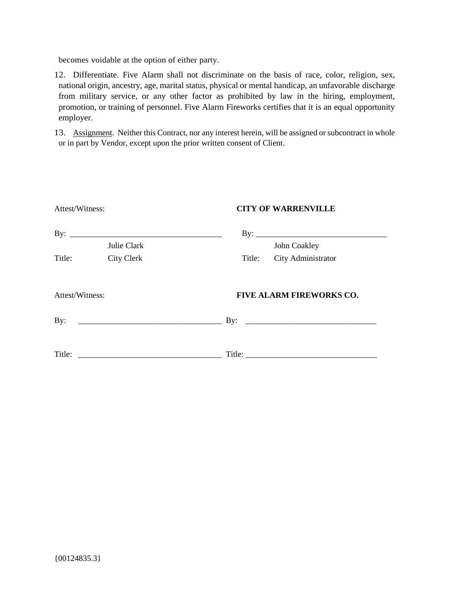becomes voidable at the option of either party.

12. Differentiate. Five Alarm shall not discriminate on the basis of race, color, religion, sex, national origin, ancestry, age, marital status, physical or mental handicap, an unfavorable discharge from military service, or any other factor as prohibited by law in the hiring, employment, promotion, or training of personnel. Five Alarm Fireworks certifies that it is an equal opportunity employer.

13. Assignment. Neither this Contract, nor any interest herein, will be assigned or subcontract in whole or in part by Vendor, except upon the prior written consent of Client.

| Attest/Witness: |                                    | <b>CITY OF WARRENVILLE</b>          |  |  |  |  |
|-----------------|------------------------------------|-------------------------------------|--|--|--|--|
|                 | By: $\qquad \qquad$<br>Julie Clark | By: $\qquad \qquad$<br>John Coakley |  |  |  |  |
| Title:          | <b>City Clerk</b>                  | Title: City Administrator           |  |  |  |  |
| Attest/Witness: |                                    | <b>FIVE ALARM FIREWORKS CO.</b>     |  |  |  |  |
| By:             |                                    |                                     |  |  |  |  |
| Title:          |                                    | Title:                              |  |  |  |  |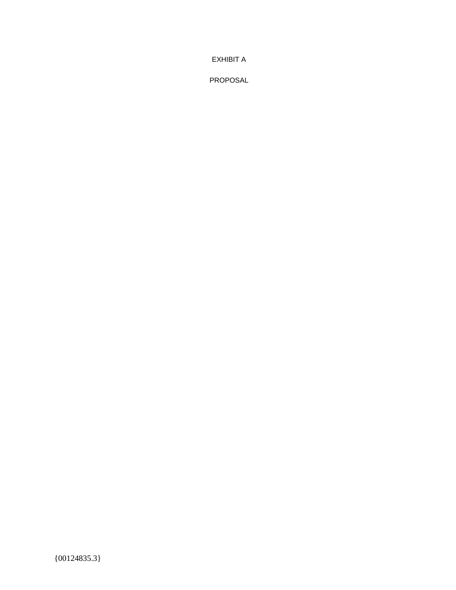EXHIBIT A

PROPOSAL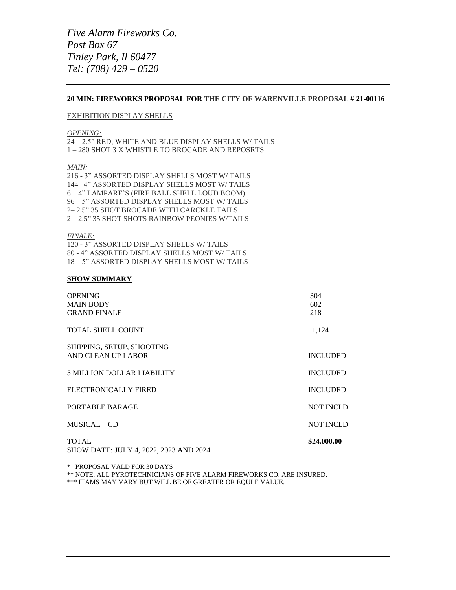## **20 MIN: FIREWORKS PROPOSAL FOR THE CITY OF WARENVILLE PROPOSAL # 21-00116**

## EXHIBITION DISPLAY SHELLS

#### *OPENING:*

24 – 2.5" RED, WHITE AND BLUE DISPLAY SHELLS W/ TAILS 1 – 280 SHOT 3 X WHISTLE TO BROCADE AND REPOSRTS

### *MAIN:*

216 - 3" ASSORTED DISPLAY SHELLS MOST W/ TAILS 144– 4" ASSORTED DISPLAY SHELLS MOST W/ TAILS 6 – 4" LAMPARE'S (FIRE BALL SHELL LOUD BOOM) 96 – 5" ASSORTED DISPLAY SHELLS MOST W/ TAILS 2– 2.5" 35 SHOT BROCADE WITH CARCKLE TAILS 2 – 2.5" 35 SHOT SHOTS RAINBOW PEONIES W/TAILS

#### *FINALE:*

120 - 3" ASSORTED DISPLAY SHELLS W/ TAILS 80 - 4" ASSORTED DISPLAY SHELLS MOST W/ TAILS 18 – 5" ASSORTED DISPLAY SHELLS MOST W/ TAILS

## **SHOW SUMMARY**

| <b>OPENING</b><br><b>MAIN BODY</b><br><b>GRAND FINALE</b> | 304<br>602<br>218 |
|-----------------------------------------------------------|-------------------|
| <b>TOTAL SHELL COUNT</b>                                  | 1.124             |
| SHIPPING, SETUP, SHOOTING<br>AND CLEAN UP LABOR           | <b>INCLUDED</b>   |
| <b>5 MILLION DOLLAR LIABILITY</b>                         | <b>INCLUDED</b>   |
| ELECTRONICALLY FIRED                                      | <b>INCLUDED</b>   |
| PORTABLE BARAGE                                           | <b>NOT INCLD</b>  |
| $MUSICAL - CD$                                            | <b>NOT INCLD</b>  |
| <b>TOTAL</b>                                              | \$24,000.00       |

SHOW DATE: JULY 4, 2022, 2023 AND 2024

\* PROPOSAL VALD FOR 30 DAYS

\*\* NOTE: ALL PYROTECHNICIANS OF FIVE ALARM FIREWORKS CO. ARE INSURED.

\*\*\* ITAMS MAY VARY BUT WILL BE OF GREATER OR EQULE VALUE.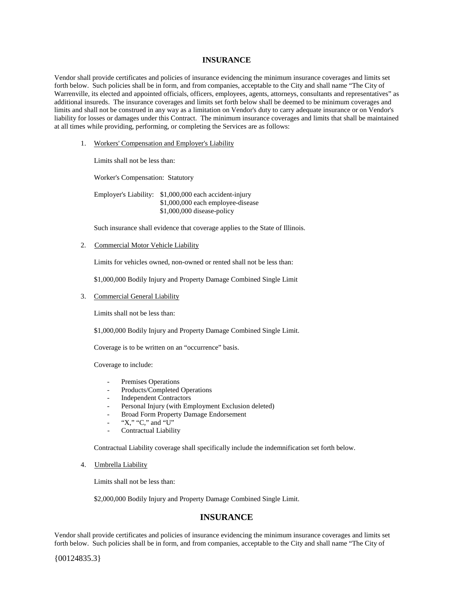## **INSURANCE**

Vendor shall provide certificates and policies of insurance evidencing the minimum insurance coverages and limits set forth below. Such policies shall be in form, and from companies, acceptable to the City and shall name "The City of Warrenville, its elected and appointed officials, officers, employees, agents, attorneys, consultants and representatives" as additional insureds. The insurance coverages and limits set forth below shall be deemed to be minimum coverages and limits and shall not be construed in any way as a limitation on Vendor's duty to carry adequate insurance or on Vendor's liability for losses or damages under this Contract. The minimum insurance coverages and limits that shall be maintained at all times while providing, performing, or completing the Services are as follows:

1. Workers' Compensation and Employer's Liability

Limits shall not be less than:

Worker's Compensation: Statutory

Employer's Liability: \$1,000,000 each accident-injury \$1,000,000 each employee-disease \$1,000,000 disease-policy

Such insurance shall evidence that coverage applies to the State of Illinois.

## 2. Commercial Motor Vehicle Liability

Limits for vehicles owned, non-owned or rented shall not be less than:

\$1,000,000 Bodily Injury and Property Damage Combined Single Limit

## 3. Commercial General Liability

Limits shall not be less than:

\$1,000,000 Bodily Injury and Property Damage Combined Single Limit.

Coverage is to be written on an "occurrence" basis.

Coverage to include:

- Premises Operations
- Products/Completed Operations
- Independent Contractors
- Personal Injury (with Employment Exclusion deleted)
- Broad Form Property Damage Endorsement
- "X," "C," and " $\overline{U}$ "
- Contractual Liability

Contractual Liability coverage shall specifically include the indemnification set forth below.

4. Umbrella Liability

Limits shall not be less than:

\$2,000,000 Bodily Injury and Property Damage Combined Single Limit.

# **INSURANCE**

Vendor shall provide certificates and policies of insurance evidencing the minimum insurance coverages and limits set forth below. Such policies shall be in form, and from companies, acceptable to the City and shall name "The City of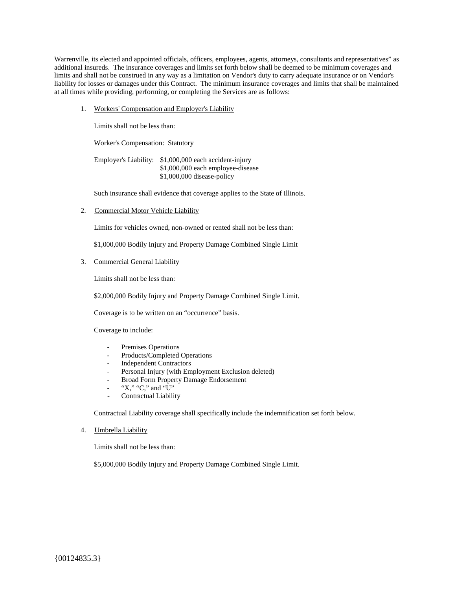Warrenville, its elected and appointed officials, officers, employees, agents, attorneys, consultants and representatives" as additional insureds. The insurance coverages and limits set forth below shall be deemed to be minimum coverages and limits and shall not be construed in any way as a limitation on Vendor's duty to carry adequate insurance or on Vendor's liability for losses or damages under this Contract. The minimum insurance coverages and limits that shall be maintained at all times while providing, performing, or completing the Services are as follows:

1. Workers' Compensation and Employer's Liability

Limits shall not be less than:

Worker's Compensation: Statutory

Employer's Liability: \$1,000,000 each accident-injury \$1,000,000 each employee-disease \$1,000,000 disease-policy

Such insurance shall evidence that coverage applies to the State of Illinois.

2. Commercial Motor Vehicle Liability

Limits for vehicles owned, non-owned or rented shall not be less than:

\$1,000,000 Bodily Injury and Property Damage Combined Single Limit

## 3. Commercial General Liability

Limits shall not be less than:

\$2,000,000 Bodily Injury and Property Damage Combined Single Limit.

Coverage is to be written on an "occurrence" basis.

Coverage to include:

- Premises Operations
- Products/Completed Operations
- Independent Contractors
- Personal Injury (with Employment Exclusion deleted)
- Broad Form Property Damage Endorsement
- "X," "C," and "U"
- Contractual Liability

Contractual Liability coverage shall specifically include the indemnification set forth below.

4. Umbrella Liability

Limits shall not be less than:

\$5,000,000 Bodily Injury and Property Damage Combined Single Limit.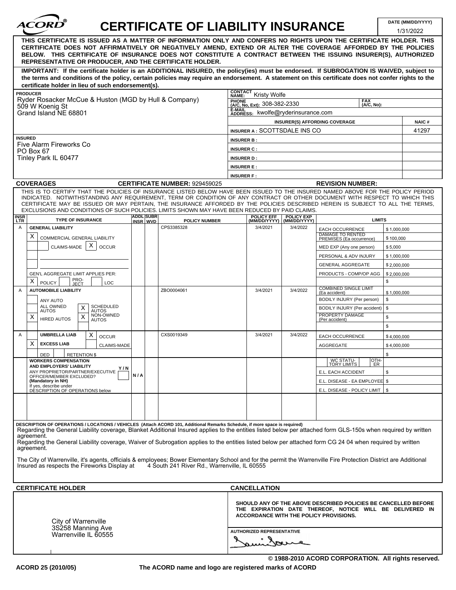| <i><b>ACORD</b></i>                                                                                                                                                                                                                                                                                                                                                                                                                                                                                |     |                              | <b>CERTIFICATE OF LIABILITY INSURANCE</b>    |                                               |                                                |                                                                                                                            |                   | DATE (MM/DD/YYYY)<br>1/31/2022 |
|----------------------------------------------------------------------------------------------------------------------------------------------------------------------------------------------------------------------------------------------------------------------------------------------------------------------------------------------------------------------------------------------------------------------------------------------------------------------------------------------------|-----|------------------------------|----------------------------------------------|-----------------------------------------------|------------------------------------------------|----------------------------------------------------------------------------------------------------------------------------|-------------------|--------------------------------|
| THIS CERTIFICATE IS ISSUED AS A MATTER OF INFORMATION ONLY AND CONFERS NO RIGHTS UPON THE CERTIFICATE HOLDER. THIS<br>CERTIFICATE DOES NOT AFFIRMATIVELY OR NEGATIVELY AMEND, EXTEND OR ALTER THE COVERAGE AFFORDED BY THE POLICIES<br>BELOW. THIS CERTIFICATE OF INSURANCE DOES NOT CONSTITUTE A CONTRACT BETWEEN THE ISSUING INSURER(S), AUTHORIZED<br>REPRESENTATIVE OR PRODUCER, AND THE CERTIFICATE HOLDER.                                                                                   |     |                              |                                              |                                               |                                                |                                                                                                                            |                   |                                |
| IMPORTANT: If the certificate holder is an ADDITIONAL INSURED, the policy(ies) must be endorsed. If SUBROGATION IS WAIVED, subject to<br>the terms and conditions of the policy, certain policies may require an endorsement. A statement on this certificate does not confer rights to the<br>certificate holder in lieu of such endorsement(s).                                                                                                                                                  |     |                              |                                              |                                               |                                                |                                                                                                                            |                   |                                |
| <b>PRODUCER</b>                                                                                                                                                                                                                                                                                                                                                                                                                                                                                    |     |                              |                                              | <b>CONTACT</b><br>Kristy Wolfe<br>NAME:       |                                                |                                                                                                                            |                   |                                |
| Ryder Rosacker McCue & Huston (MGD by Hull & Company)<br>509 W Koenig St                                                                                                                                                                                                                                                                                                                                                                                                                           |     |                              | PHONE<br>(A/C, No, Ext): 308-382-2330        |                                               | <b>FAX</b><br>(A/C, No):                       |                                                                                                                            |                   |                                |
| Grand Island NE 68801                                                                                                                                                                                                                                                                                                                                                                                                                                                                              |     |                              | E-MAIL<br>ADDRESS: kwolfe@ryderinsurance.com |                                               |                                                |                                                                                                                            |                   |                                |
|                                                                                                                                                                                                                                                                                                                                                                                                                                                                                                    |     |                              |                                              |                                               |                                                | <b>INSURER(S) AFFORDING COVERAGE</b>                                                                                       |                   | <b>NAIC#</b>                   |
|                                                                                                                                                                                                                                                                                                                                                                                                                                                                                                    |     |                              | INSURER A: SCOTTSDALE INS CO                 |                                               |                                                |                                                                                                                            | 41297             |                                |
| <b>INSURED</b><br>Five Alarm Fireworks Co                                                                                                                                                                                                                                                                                                                                                                                                                                                          |     |                              |                                              | <b>INSURER B:</b>                             |                                                |                                                                                                                            |                   |                                |
| PO Box 67                                                                                                                                                                                                                                                                                                                                                                                                                                                                                          |     |                              |                                              | <b>INSURER C:</b>                             |                                                |                                                                                                                            |                   |                                |
| Tinley Park IL 60477                                                                                                                                                                                                                                                                                                                                                                                                                                                                               |     |                              |                                              | <b>INSURER D:</b>                             |                                                |                                                                                                                            |                   |                                |
|                                                                                                                                                                                                                                                                                                                                                                                                                                                                                                    |     |                              |                                              | <b>INSURER E:</b><br><b>INSURER F:</b>        |                                                |                                                                                                                            |                   |                                |
| <b>COVERAGES</b>                                                                                                                                                                                                                                                                                                                                                                                                                                                                                   |     |                              | <b>CERTIFICATE NUMBER: 929459025</b>         |                                               |                                                | <b>REVISION NUMBER:</b>                                                                                                    |                   |                                |
| THIS IS TO CERTIFY THAT THE POLICIES OF INSURANCE LISTED BELOW HAVE BEEN ISSUED TO THE INSURED NAMED ABOVE FOR THE POLICY PERIOD<br>INDICATED. NOTWITHSTANDING ANY REQUIREMENT, TERM OR CONDITION OF ANY CONTRACT OR OTHER DOCUMENT WITH RESPECT TO WHICH THIS<br>CERTIFICATE MAY BE ISSUED OR MAY PERTAIN, THE INSURANCE AFFORDED BY THE POLICIES DESCRIBED HEREIN IS SUBJECT TO ALL THE TERMS,<br>EXCLUSIONS AND CONDITIONS OF SUCH POLICIES. LIMITS SHOWN MAY HAVE BEEN REDUCED BY PAID CLAIMS. |     |                              |                                              |                                               |                                                |                                                                                                                            |                   |                                |
| <b>INSR</b><br><b>TYPE OF INSURANCE</b><br><b>LTR</b>                                                                                                                                                                                                                                                                                                                                                                                                                                              |     | <b>ADDL SUBR</b><br>INSR WVD | <b>POLICY NUMBER</b>                         | <b>POLICY EFF</b>                             | <b>POLICY EXP</b><br>(MM/DD/YYYY) (MM/DD/YYYY) |                                                                                                                            | <b>LIMITS</b>     |                                |
| $\overline{A}$<br><b>GENERAL LIABILITY</b>                                                                                                                                                                                                                                                                                                                                                                                                                                                         |     |                              | CPS3385328                                   | 3/4/2021                                      | 3/4/2022                                       | EACH OCCURRENCE                                                                                                            | \$1,000,000       |                                |
| X<br>COMMERCIAL GENERAL LIABILITY                                                                                                                                                                                                                                                                                                                                                                                                                                                                  |     |                              |                                              |                                               |                                                | <b>DAMAGE TO RENTED</b><br>PREMISES (Ea occurrence)                                                                        | \$100,000         |                                |
| X<br>CLAIMS-MADE<br><b>OCCUR</b>                                                                                                                                                                                                                                                                                                                                                                                                                                                                   |     |                              |                                              |                                               |                                                | MED EXP (Any one person)                                                                                                   | \$5,000           |                                |
|                                                                                                                                                                                                                                                                                                                                                                                                                                                                                                    |     |                              |                                              |                                               |                                                | PERSONAL & ADV INJURY                                                                                                      | \$1,000,000       |                                |
|                                                                                                                                                                                                                                                                                                                                                                                                                                                                                                    |     |                              |                                              |                                               |                                                | <b>GENERAL AGGREGATE</b>                                                                                                   | \$2,000,000       |                                |
| GEN'L AGGREGATE LIMIT APPLIES PER:<br>PRO-<br>JECT<br>X<br><b>POLICY</b><br>LOC                                                                                                                                                                                                                                                                                                                                                                                                                    |     |                              |                                              |                                               |                                                | PRODUCTS - COMP/OP AGG                                                                                                     | \$2,000,000<br>\$ |                                |
| <b>AUTOMOBILE LIABILITY</b><br>Α                                                                                                                                                                                                                                                                                                                                                                                                                                                                   |     |                              | ZBO0004061                                   | 3/4/2021                                      | 3/4/2022                                       | <b>COMBINED SINGLE LIMIT</b><br>(Ea accident)                                                                              | \$1,000,000       |                                |
| ANY AUTO<br><b>ALL OWNED</b><br><b>SCHEDULED</b>                                                                                                                                                                                                                                                                                                                                                                                                                                                   |     |                              |                                              |                                               |                                                | BODILY INJURY (Per person)                                                                                                 | \$                |                                |
| X<br><b>AUTOS</b><br><b>AUTOS</b><br>NON-OWNED<br>X                                                                                                                                                                                                                                                                                                                                                                                                                                                |     |                              |                                              |                                               |                                                | BODILY INJURY (Per accident)<br>PROPERTY DAMAGE                                                                            | \$                |                                |
| х<br><b>HIRED AUTOS</b><br><b>AUTOS</b>                                                                                                                                                                                                                                                                                                                                                                                                                                                            |     |                              |                                              |                                               |                                                | (Per accident)                                                                                                             | \$<br>\$          |                                |
| <b>UMBRELLA LIAB</b><br>Α<br>х                                                                                                                                                                                                                                                                                                                                                                                                                                                                     |     |                              | CXS0019349                                   | 3/4/2021                                      | 3/4/2022                                       |                                                                                                                            |                   |                                |
| <b>OCCUR</b><br>X<br><b>EXCESS LIAB</b>                                                                                                                                                                                                                                                                                                                                                                                                                                                            |     |                              |                                              |                                               |                                                | <b>EACH OCCURRENCE</b>                                                                                                     | \$4.000.000       |                                |
| <b>CLAIMS-MADE</b><br>DED<br><b>RETENTION \$</b>                                                                                                                                                                                                                                                                                                                                                                                                                                                   |     |                              |                                              |                                               |                                                | <b>AGGREGATE</b>                                                                                                           | \$4,000,000<br>\$ |                                |
| <b>WORKERS COMPENSATION</b>                                                                                                                                                                                                                                                                                                                                                                                                                                                                        |     |                              |                                              |                                               |                                                | <b>WC STATU-<br/>TORY LIMITS</b><br>OTH-                                                                                   |                   |                                |
| AND EMPLOYERS' LIABILITY<br>Y/N<br>ANY PROPRIETOR/PARTNER/EXECUTIVE                                                                                                                                                                                                                                                                                                                                                                                                                                |     |                              |                                              |                                               |                                                | ER<br>E.L. EACH ACCIDENT                                                                                                   | \$                |                                |
| OFFICER/MEMBER EXCLUDED?<br>(Mandatory in NH)                                                                                                                                                                                                                                                                                                                                                                                                                                                      | N/A |                              |                                              |                                               |                                                | E.L. DISEASE - EA EMPLOYEE \$                                                                                              |                   |                                |
| If yes, describe under<br>DÉSCRIPTION OF OPERATIONS below                                                                                                                                                                                                                                                                                                                                                                                                                                          |     |                              |                                              |                                               |                                                | E.L. DISEASE - POLICY LIMIT   \$                                                                                           |                   |                                |
|                                                                                                                                                                                                                                                                                                                                                                                                                                                                                                    |     |                              |                                              |                                               |                                                |                                                                                                                            |                   |                                |
|                                                                                                                                                                                                                                                                                                                                                                                                                                                                                                    |     |                              |                                              |                                               |                                                |                                                                                                                            |                   |                                |
|                                                                                                                                                                                                                                                                                                                                                                                                                                                                                                    |     |                              |                                              |                                               |                                                |                                                                                                                            |                   |                                |
| DESCRIPTION OF OPERATIONS / LOCATIONS / VEHICLES (Attach ACORD 101, Additional Remarks Schedule, if more space is required)<br>Regarding the General Liability coverage, Blanket Additional Insured applies to the entities listed below per attached form GLS-150s when required by written<br>agreement.                                                                                                                                                                                         |     |                              |                                              |                                               |                                                |                                                                                                                            |                   |                                |
| Regarding the General Liability coverage, Waiver of Subrogation applies to the entities listed below per attached form CG 24 04 when required by written<br>agreement.                                                                                                                                                                                                                                                                                                                             |     |                              |                                              |                                               |                                                |                                                                                                                            |                   |                                |
|                                                                                                                                                                                                                                                                                                                                                                                                                                                                                                    |     |                              |                                              |                                               |                                                |                                                                                                                            |                   |                                |
| The City of Warrenville, it's agents, officials & employees; Bower Elementary School and for the permit the Warrenville Fire Protection District are Additional<br>Insured as respects the Fireworks Display at 4 South 241 River Rd., Warrenville, IL 60555                                                                                                                                                                                                                                       |     |                              |                                              |                                               |                                                |                                                                                                                            |                   |                                |
| <b>CERTIFICATE HOLDER</b>                                                                                                                                                                                                                                                                                                                                                                                                                                                                          |     |                              |                                              | <b>CANCELLATION</b>                           |                                                |                                                                                                                            |                   |                                |
| City of Warrenville                                                                                                                                                                                                                                                                                                                                                                                                                                                                                |     |                              |                                              | <b>ACCORDANCE WITH THE POLICY PROVISIONS.</b> |                                                | SHOULD ANY OF THE ABOVE DESCRIBED POLICIES BE CANCELLED BEFORE<br>THE EXPIRATION DATE THEREOF, NOTICE WILL BE DELIVERED IN |                   |                                |
| 3S258 Manning Ave                                                                                                                                                                                                                                                                                                                                                                                                                                                                                  |     |                              |                                              | <b>AUTHORIZED REPRESENTATIVE</b>              |                                                |                                                                                                                            |                   |                                |
| Warrenville IL 60555                                                                                                                                                                                                                                                                                                                                                                                                                                                                               |     |                              |                                              |                                               |                                                |                                                                                                                            |                   |                                |

**The ACORD name and logo are registered marks of ACORD**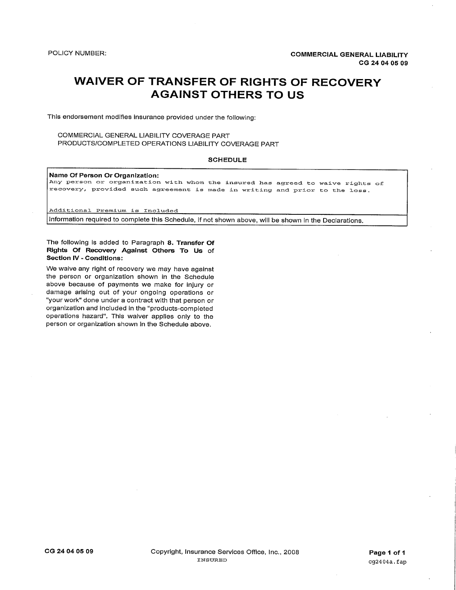# **WAIVER OF TRANSFER OF RIGHTS OF RECOVERY AGAINST OTHERS TO US**

This endorsement modifies insurance provided under the following:

## COMMERCIAL GENERAL LIABILITY COVERAGE PART PRODUCTS/COMPLETED OPERATIONS LIABILITY COVERAGE PART

#### **SCHEDULE**

Name Of Person Or Organization:

Any person or organization with whom the insured has agreed to waive rights of recovery, provided such agreement is made in writing and prior to the loss.

Additional Premium is Included

Information required to complete this Schedule, if not shown above, will be shown in the Declarations.

The following is added to Paragraph 8. Transfer Of Rights Of Recovery Against Others To Us of **Section IV - Conditions:** 

We waive any right of recovery we may have against the person or organization shown in the Schedule above because of payments we make for injury or damage arising out of your ongoing operations or "your work" done under a contract with that person or organization and included in the "products-completed operations hazard". This waiver applies only to the person or organization shown in the Schedule above.

CG 24 04 05 09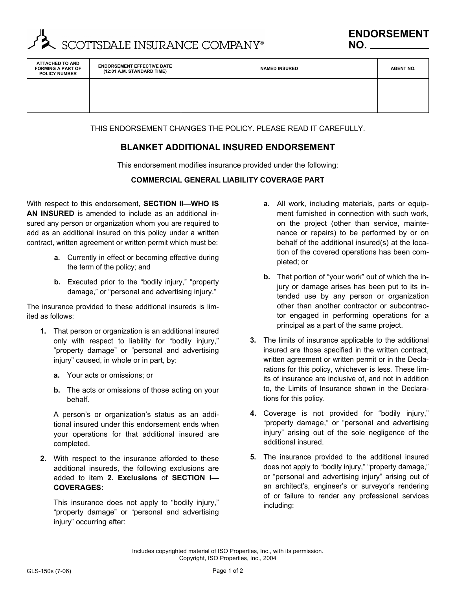

| ATTACHED TO AND<br><b>FORMING A PART OF</b><br><b>POLICY NUMBER</b> | <b>ENDORSEMENT EFFECTIVE DATE</b><br>(12:01 A.M. STANDARD TIME) | <b>NAMED INSURED</b> | <b>AGENT NO.</b> |
|---------------------------------------------------------------------|-----------------------------------------------------------------|----------------------|------------------|
|                                                                     |                                                                 |                      |                  |
|                                                                     |                                                                 |                      |                  |

THIS ENDORSEMENT CHANGES THE POLICY. PLEASE READ IT CAREFULLY.

# **BLANKET ADDITIONAL INSURED ENDORSEMENT**

This endorsement modifies insurance provided under the following:

# **COMMERCIAL GENERAL LIABILITY COVERAGE PART**

With respect to this endorsement, **SECTION II—WHO IS AN INSURED** is amended to include as an additional insured any person or organization whom you are required to add as an additional insured on this policy under a written contract, written agreement or written permit which must be:

- **a.** Currently in effect or becoming effective during the term of the policy; and
- **b.** Executed prior to the "bodily injury," "property damage," or "personal and advertising injury."

The insurance provided to these additional insureds is limited as follows:

- **1.** That person or organization is an additional insured only with respect to liability for "bodily injury," "property damage" or "personal and advertising injury" caused, in whole or in part, by:
	- **a.** Your acts or omissions; or
	- **b.** The acts or omissions of those acting on your behalf.

A person's or organization's status as an additional insured under this endorsement ends when your operations for that additional insured are completed.

**2.** With respect to the insurance afforded to these additional insureds, the following exclusions are added to item **2. Exclusions** of **SECTION I— COVERAGES:**

This insurance does not apply to "bodily injury," "property damage" or "personal and advertising injury" occurring after:

- **a.** All work, including materials, parts or equipment furnished in connection with such work, on the project (other than service, maintenance or repairs) to be performed by or on behalf of the additional insured(s) at the location of the covered operations has been completed; or
- **b.** That portion of "your work" out of which the injury or damage arises has been put to its intended use by any person or organization other than another contractor or subcontractor engaged in performing operations for a principal as a part of the same project.
- **3.** The limits of insurance applicable to the additional insured are those specified in the written contract, written agreement or written permit or in the Declarations for this policy, whichever is less. These limits of insurance are inclusive of, and not in addition to, the Limits of Insurance shown in the Declarations for this policy.
- **4.** Coverage is not provided for "bodily injury," "property damage," or "personal and advertising injury" arising out of the sole negligence of the additional insured.
- **5.** The insurance provided to the additional insured does not apply to "bodily injury," "property damage," or "personal and advertising injury" arising out of an architect's, engineer's or surveyor's rendering of or failure to render any professional services including:

Includes copyrighted material of ISO Properties, Inc., with its permission. Copyright, ISO Properties, Inc., 2004